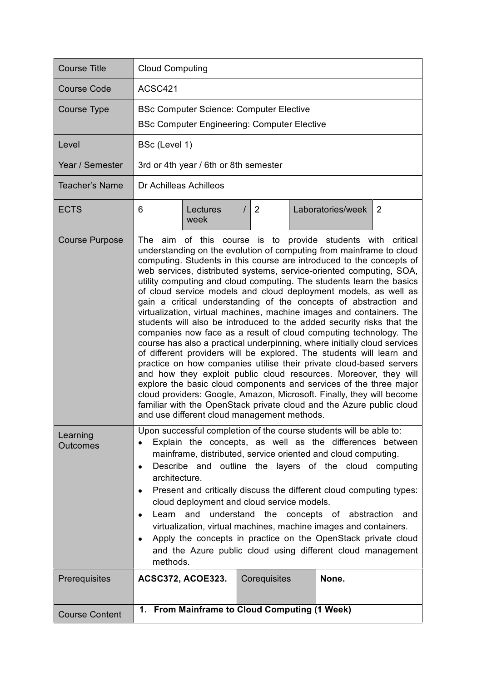| <b>Course Title</b>         | <b>Cloud Computing</b>                                                                                                                                                                                                                                                                                                                                                                                                                                                                                                                                                                                                                                                                                                                                                                                                                                                                                                                                                                                                                                                                                                                                                                                                                                                                         |                          |                |                                               |   |  |
|-----------------------------|------------------------------------------------------------------------------------------------------------------------------------------------------------------------------------------------------------------------------------------------------------------------------------------------------------------------------------------------------------------------------------------------------------------------------------------------------------------------------------------------------------------------------------------------------------------------------------------------------------------------------------------------------------------------------------------------------------------------------------------------------------------------------------------------------------------------------------------------------------------------------------------------------------------------------------------------------------------------------------------------------------------------------------------------------------------------------------------------------------------------------------------------------------------------------------------------------------------------------------------------------------------------------------------------|--------------------------|----------------|-----------------------------------------------|---|--|
| Course Code                 | ACSC421                                                                                                                                                                                                                                                                                                                                                                                                                                                                                                                                                                                                                                                                                                                                                                                                                                                                                                                                                                                                                                                                                                                                                                                                                                                                                        |                          |                |                                               |   |  |
| <b>Course Type</b>          | <b>BSc Computer Science: Computer Elective</b><br><b>BSc Computer Engineering: Computer Elective</b>                                                                                                                                                                                                                                                                                                                                                                                                                                                                                                                                                                                                                                                                                                                                                                                                                                                                                                                                                                                                                                                                                                                                                                                           |                          |                |                                               |   |  |
| Level                       | BSc (Level 1)                                                                                                                                                                                                                                                                                                                                                                                                                                                                                                                                                                                                                                                                                                                                                                                                                                                                                                                                                                                                                                                                                                                                                                                                                                                                                  |                          |                |                                               |   |  |
| Year / Semester             | 3rd or 4th year / 6th or 8th semester                                                                                                                                                                                                                                                                                                                                                                                                                                                                                                                                                                                                                                                                                                                                                                                                                                                                                                                                                                                                                                                                                                                                                                                                                                                          |                          |                |                                               |   |  |
| Teacher's Name              | Dr Achilleas Achilleos                                                                                                                                                                                                                                                                                                                                                                                                                                                                                                                                                                                                                                                                                                                                                                                                                                                                                                                                                                                                                                                                                                                                                                                                                                                                         |                          |                |                                               |   |  |
| <b>ECTS</b>                 | 6                                                                                                                                                                                                                                                                                                                                                                                                                                                                                                                                                                                                                                                                                                                                                                                                                                                                                                                                                                                                                                                                                                                                                                                                                                                                                              | Lectures<br>week         | $\overline{2}$ | Laboratories/week                             | 2 |  |
| <b>Course Purpose</b>       | The aim of this course is to provide students with<br>critical<br>understanding on the evolution of computing from mainframe to cloud<br>computing. Students in this course are introduced to the concepts of<br>web services, distributed systems, service-oriented computing, SOA,<br>utility computing and cloud computing. The students learn the basics<br>of cloud service models and cloud deployment models, as well as<br>gain a critical understanding of the concepts of abstraction and<br>virtualization, virtual machines, machine images and containers. The<br>students will also be introduced to the added security risks that the<br>companies now face as a result of cloud computing technology. The<br>course has also a practical underpinning, where initially cloud services<br>of different providers will be explored. The students will learn and<br>practice on how companies utilise their private cloud-based servers<br>and how they exploit public cloud resources. Moreover, they will<br>explore the basic cloud components and services of the three major<br>cloud providers: Google, Amazon, Microsoft. Finally, they will become<br>familiar with the OpenStack private cloud and the Azure public cloud<br>and use different cloud management methods. |                          |                |                                               |   |  |
| Learning<br><b>Outcomes</b> | Upon successful completion of the course students will be able to:<br>Explain the concepts, as well as the differences between<br>mainframe, distributed, service oriented and cloud computing.<br>Describe and outline the layers of the cloud computing<br>$\bullet$<br>architecture.<br>Present and critically discuss the different cloud computing types:<br>cloud deployment and cloud service models.<br>Learn and understand the concepts of abstraction<br>and<br>$\bullet$<br>virtualization, virtual machines, machine images and containers.<br>Apply the concepts in practice on the OpenStack private cloud<br>$\bullet$<br>and the Azure public cloud using different cloud management<br>methods.                                                                                                                                                                                                                                                                                                                                                                                                                                                                                                                                                                              |                          |                |                                               |   |  |
| Prerequisites               |                                                                                                                                                                                                                                                                                                                                                                                                                                                                                                                                                                                                                                                                                                                                                                                                                                                                                                                                                                                                                                                                                                                                                                                                                                                                                                | <b>ACSC372, ACOE323.</b> | Corequisites   | None.                                         |   |  |
| <b>Course Content</b>       |                                                                                                                                                                                                                                                                                                                                                                                                                                                                                                                                                                                                                                                                                                                                                                                                                                                                                                                                                                                                                                                                                                                                                                                                                                                                                                |                          |                | 1. From Mainframe to Cloud Computing (1 Week) |   |  |
|                             |                                                                                                                                                                                                                                                                                                                                                                                                                                                                                                                                                                                                                                                                                                                                                                                                                                                                                                                                                                                                                                                                                                                                                                                                                                                                                                |                          |                |                                               |   |  |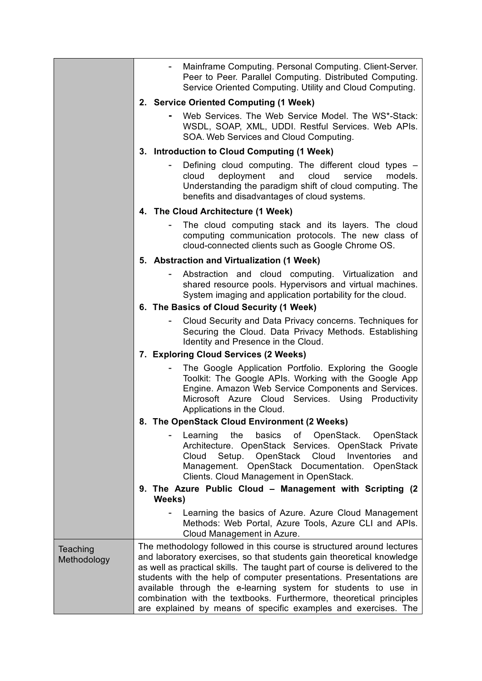|                         |                                                                                                                                                                                                                                                                                                                                                                                                                                                                                                                | Mainframe Computing. Personal Computing. Client-Server.<br>Peer to Peer. Parallel Computing. Distributed Computing.<br>Service Oriented Computing. Utility and Cloud Computing.                                                                                                                        |  |  |  |
|-------------------------|----------------------------------------------------------------------------------------------------------------------------------------------------------------------------------------------------------------------------------------------------------------------------------------------------------------------------------------------------------------------------------------------------------------------------------------------------------------------------------------------------------------|--------------------------------------------------------------------------------------------------------------------------------------------------------------------------------------------------------------------------------------------------------------------------------------------------------|--|--|--|
|                         | 2. Service Oriented Computing (1 Week)                                                                                                                                                                                                                                                                                                                                                                                                                                                                         |                                                                                                                                                                                                                                                                                                        |  |  |  |
|                         |                                                                                                                                                                                                                                                                                                                                                                                                                                                                                                                | Web Services. The Web Service Model. The WS*-Stack:<br>WSDL, SOAP, XML, UDDI. Restful Services. Web APIs.<br>SOA. Web Services and Cloud Computing.                                                                                                                                                    |  |  |  |
|                         | 3. Introduction to Cloud Computing (1 Week)                                                                                                                                                                                                                                                                                                                                                                                                                                                                    |                                                                                                                                                                                                                                                                                                        |  |  |  |
|                         | cloud                                                                                                                                                                                                                                                                                                                                                                                                                                                                                                          | Defining cloud computing. The different cloud types -<br>deployment<br>and<br>cloud<br>service<br>models.<br>Understanding the paradigm shift of cloud computing. The<br>benefits and disadvantages of cloud systems.                                                                                  |  |  |  |
|                         | 4. The Cloud Architecture (1 Week)                                                                                                                                                                                                                                                                                                                                                                                                                                                                             |                                                                                                                                                                                                                                                                                                        |  |  |  |
|                         |                                                                                                                                                                                                                                                                                                                                                                                                                                                                                                                | The cloud computing stack and its layers. The cloud<br>computing communication protocols. The new class of<br>cloud-connected clients such as Google Chrome OS.                                                                                                                                        |  |  |  |
|                         | 5. Abstraction and Virtualization (1 Week)                                                                                                                                                                                                                                                                                                                                                                                                                                                                     |                                                                                                                                                                                                                                                                                                        |  |  |  |
|                         |                                                                                                                                                                                                                                                                                                                                                                                                                                                                                                                | Abstraction and cloud computing. Virtualization and<br>shared resource pools. Hypervisors and virtual machines.<br>System imaging and application portability for the cloud.                                                                                                                           |  |  |  |
|                         | 6. The Basics of Cloud Security (1 Week)                                                                                                                                                                                                                                                                                                                                                                                                                                                                       |                                                                                                                                                                                                                                                                                                        |  |  |  |
|                         |                                                                                                                                                                                                                                                                                                                                                                                                                                                                                                                | Cloud Security and Data Privacy concerns. Techniques for<br>Securing the Cloud. Data Privacy Methods. Establishing<br>Identity and Presence in the Cloud.                                                                                                                                              |  |  |  |
|                         |                                                                                                                                                                                                                                                                                                                                                                                                                                                                                                                | 7. Exploring Cloud Services (2 Weeks)<br>The Google Application Portfolio. Exploring the Google<br>Toolkit: The Google APIs. Working with the Google App<br>Engine. Amazon Web Service Components and Services.<br>Services. Using Productivity<br>Microsoft Azure Cloud<br>Applications in the Cloud. |  |  |  |
|                         |                                                                                                                                                                                                                                                                                                                                                                                                                                                                                                                |                                                                                                                                                                                                                                                                                                        |  |  |  |
|                         | The OpenStack Cloud Environment (2 Weeks)<br>8.                                                                                                                                                                                                                                                                                                                                                                                                                                                                |                                                                                                                                                                                                                                                                                                        |  |  |  |
|                         | Cloud                                                                                                                                                                                                                                                                                                                                                                                                                                                                                                          | the<br>basics<br>of<br>OpenStack. OpenStack<br>Learning<br>Architecture. OpenStack Services. OpenStack Private<br>Setup. OpenStack Cloud<br>Inventories<br>and<br>Management. OpenStack Documentation. OpenStack<br>Clients. Cloud Management in OpenStack.                                            |  |  |  |
|                         | 9. The Azure Public Cloud - Management with Scripting (2)<br>Weeks)                                                                                                                                                                                                                                                                                                                                                                                                                                            |                                                                                                                                                                                                                                                                                                        |  |  |  |
|                         |                                                                                                                                                                                                                                                                                                                                                                                                                                                                                                                | Learning the basics of Azure. Azure Cloud Management<br>Methods: Web Portal, Azure Tools, Azure CLI and APIs.<br>Cloud Management in Azure.                                                                                                                                                            |  |  |  |
| Teaching<br>Methodology | The methodology followed in this course is structured around lectures<br>and laboratory exercises, so that students gain theoretical knowledge<br>as well as practical skills. The taught part of course is delivered to the<br>students with the help of computer presentations. Presentations are<br>available through the e-learning system for students to use in<br>combination with the textbooks. Furthermore, theoretical principles<br>are explained by means of specific examples and exercises. The |                                                                                                                                                                                                                                                                                                        |  |  |  |